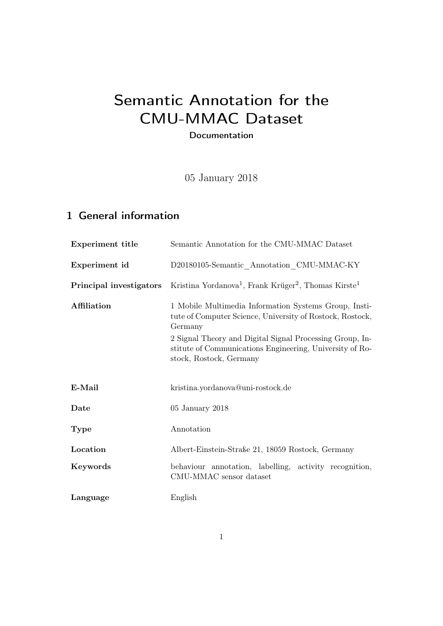# Semantic Annotation for the CMU-MMAC Dataset

**Documentation** 

05 January 2018

# 1 General information

| <b>Experiment title</b> | Semantic Annotation for the CMU-MMAC Dataset                                                                                                                                                                                                                                     |  |  |
|-------------------------|----------------------------------------------------------------------------------------------------------------------------------------------------------------------------------------------------------------------------------------------------------------------------------|--|--|
| Experiment id           | D20180105-Semantic Annotation CMU-MMAC-KY                                                                                                                                                                                                                                        |  |  |
| Principal investigators | Kristina Yordanova <sup>1</sup> , Frank Krüger <sup>2</sup> , Thomas Kirste <sup>1</sup>                                                                                                                                                                                         |  |  |
| Affiliation             | 1 Mobile Multimedia Information Systems Group, Insti-<br>tute of Computer Science, University of Rostock, Rostock,<br>Germany<br>2 Signal Theory and Digital Signal Processing Group, In-<br>stitute of Communications Engineering, University of Ro-<br>stock, Rostock, Germany |  |  |
| E-Mail                  | kristina.yordanova@uni-rostock.de                                                                                                                                                                                                                                                |  |  |
| Date                    | 05 January 2018                                                                                                                                                                                                                                                                  |  |  |
| Type                    | Annotation                                                                                                                                                                                                                                                                       |  |  |
| Location                | Albert-Einstein-Straße 21, 18059 Rostock, Germany                                                                                                                                                                                                                                |  |  |
| Keywords                | behaviour annotation, labelling, activity recognition,<br>CMU-MMAC sensor dataset                                                                                                                                                                                                |  |  |
| Language                | English                                                                                                                                                                                                                                                                          |  |  |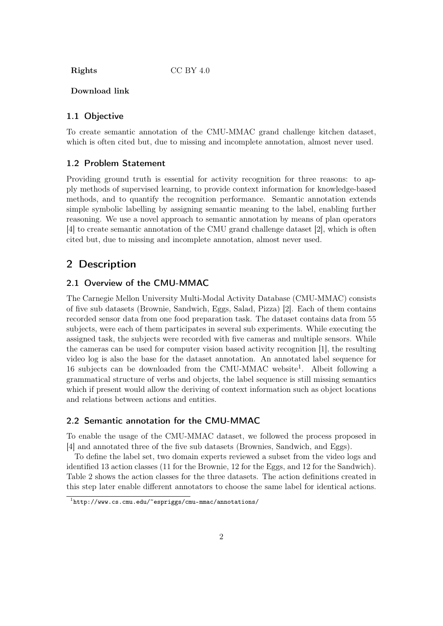Rights CC BY 4.0

#### Download link

#### 1.1 Objective

To create semantic annotation of the CMU-MMAC grand challenge kitchen dataset, which is often cited but, due to missing and incomplete annotation, almost never used.

#### 1.2 Problem Statement

Providing ground truth is essential for activity recognition for three reasons: to apply methods of supervised learning, to provide context information for knowledge-based methods, and to quantify the recognition performance. Semantic annotation extends simple symbolic labelling by assigning semantic meaning to the label, enabling further reasoning. We use a novel approach to semantic annotation by means of plan operators [\[4\]](#page-3-0) to create semantic annotation of the CMU grand challenge dataset [\[2\]](#page-3-1), which is often cited but, due to missing and incomplete annotation, almost never used.

### 2 Description

#### 2.1 Overview of the CMU-MMAC

The Carnegie Mellon University Multi-Modal Activity Database (CMU-MMAC) consists of five sub datasets (Brownie, Sandwich, Eggs, Salad, Pizza) [\[2\]](#page-3-1). Each of them contains recorded sensor data from one food preparation task. The dataset contains data from 55 subjects, were each of them participates in several sub experiments. While executing the assigned task, the subjects were recorded with five cameras and multiple sensors. While the cameras can be used for computer vision based activity recognition [\[1\]](#page-3-2), the resulting video log is also the base for the dataset annotation. An annotated label sequence for [1](#page-1-0)6 subjects can be downloaded from the CMU-MMAC website<sup>1</sup>. Albeit following a grammatical structure of verbs and objects, the label sequence is still missing semantics which if present would allow the deriving of context information such as object locations and relations between actions and entities.

#### 2.2 Semantic annotation for the CMU-MMAC

To enable the usage of the CMU-MMAC dataset, we followed the process proposed in [\[4\]](#page-3-0) and annotated three of the five sub datasets (Brownies, Sandwich, and Eggs).

To define the label set, two domain experts reviewed a subset from the video logs and identified 13 action classes (11 for the Brownie, 12 for the Eggs, and 12 for the Sandwich). Table [2](#page-2-0) shows the action classes for the three datasets. The action definitions created in this step later enable different annotators to choose the same label for identical actions.

<span id="page-1-0"></span><sup>1</sup> <http://www.cs.cmu.edu/~espriggs/cmu-mmac/annotations/>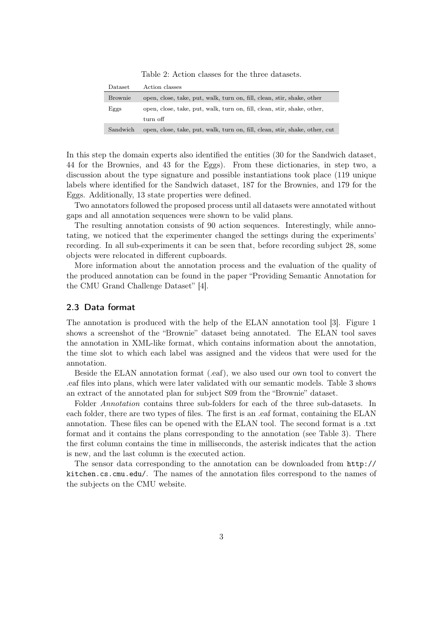<span id="page-2-0"></span>

| Table 2: Action classes for the three datasets. |  |  |  |  |
|-------------------------------------------------|--|--|--|--|
|-------------------------------------------------|--|--|--|--|

| Dataset  | Action classes                                                              |
|----------|-----------------------------------------------------------------------------|
| Brownie  | open, close, take, put, walk, turn on, fill, clean, stir, shake, other      |
| Eggs     | open, close, take, put, walk, turn on, fill, clean, stir, shake, other,     |
|          | turn off                                                                    |
| Sandwich | open, close, take, put, walk, turn on, fill, clean, stir, shake, other, cut |

In this step the domain experts also identified the entities (30 for the Sandwich dataset, 44 for the Brownies, and 43 for the Eggs). From these dictionaries, in step two, a discussion about the type signature and possible instantiations took place (119 unique labels where identified for the Sandwich dataset, 187 for the Brownies, and 179 for the Eggs. Additionally, 13 state properties were defined.

Two annotators followed the proposed process until all datasets were annotated without gaps and all annotation sequences were shown to be valid plans.

The resulting annotation consists of 90 action sequences. Interestingly, while annotating, we noticed that the experimenter changed the settings during the experiments' recording. In all sub-experiments it can be seen that, before recording subject 28, some objects were relocated in different cupboards.

More information about the annotation process and the evaluation of the quality of the produced annotation can be found in the paper "Providing Semantic Annotation for the CMU Grand Challenge Dataset" [\[4\]](#page-3-0).

#### 2.3 Data format

The annotation is produced with the help of the ELAN annotation tool [\[3\]](#page-3-3). Figure [1](#page-3-4) shows a screenshot of the "Brownie" dataset being annotated. The ELAN tool saves the annotation in XML-like format, which contains information about the annotation, the time slot to which each label was assigned and the videos that were used for the annotation.

Beside the ELAN annotation format (.eaf), we also used our own tool to convert the .eaf files into plans, which were later validated with our semantic models. Table [3](#page-4-0) shows an extract of the annotated plan for subject S09 from the "Brownie" dataset.

Folder Annotation contains three sub-folders for each of the three sub-datasets. In each folder, there are two types of files. The first is an .eaf format, containing the ELAN annotation. These files can be opened with the ELAN tool. The second format is a .txt format and it contains the plans corresponding to the annotation (see Table [3\)](#page-4-0). There the first column contains the time in milliseconds, the asterisk indicates that the action is new, and the last column is the executed action.

The sensor data corresponding to the annotation can be downloaded from [http://](http://kitchen.cs.cmu.edu/) [kitchen.cs.cmu.edu/](http://kitchen.cs.cmu.edu/). The names of the annotation files correspond to the names of the subjects on the CMU website.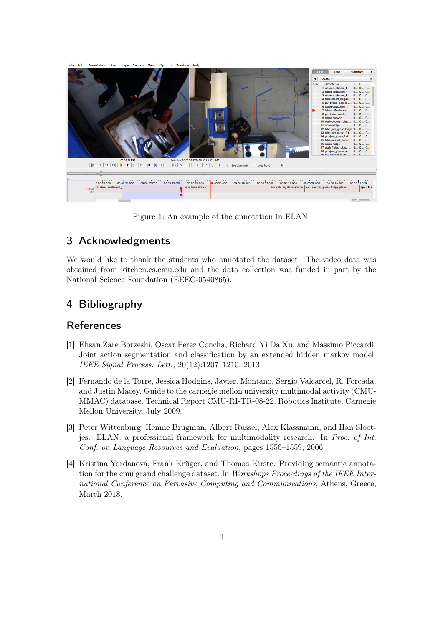

<span id="page-3-4"></span>Figure 1: An example of the annotation in ELAN.

## 3 Acknowledgments

We would like to thank the students who annotated the dataset. The video data was obtained from kitchen.cs.cmu.edu and the data collection was funded in part by the National Science Foundation (EEEC-0540865).

## 4 Bibliography

## References

- <span id="page-3-2"></span>[1] Ehsan Zare Borzeshi, Oscar Perez Concha, Richard Yi Da Xu, and Massimo Piccardi. Joint action segmentation and classification by an extended hidden markov model. IEEE Signal Process. Lett., 20(12):1207–1210, 2013.
- <span id="page-3-1"></span>[2] Fernando de la Torre, Jessica Hodgins, Javier. Montano, Sergio Valcarcel, R. Forcada, and Justin Macey. Guide to the carnegie mellon university multimodal activity (CMU-MMAC) database. Technical Report CMU-RI-TR-08-22, Robotics Institute, Carnegie Mellon University, July 2009.
- <span id="page-3-3"></span>[3] Peter Wittenburg, Hennie Brugman, Albert Russel, Alex Klassmann, and Han Sloetjes. ELAN: a professional framework for multimodality research. In Proc. of Int. Conf. on Language Resources and Evaluation, pages 1556–1559, 2006.
- <span id="page-3-0"></span>[4] Kristina Yordanova, Frank Krüger, and Thomas Kirste. Providing semantic annotation for the cmu grand challenge dataset. In Workshops Proceedings of the IEEE International Conference on Pervasive Computing and Communications, Athens, Greece, March 2018.